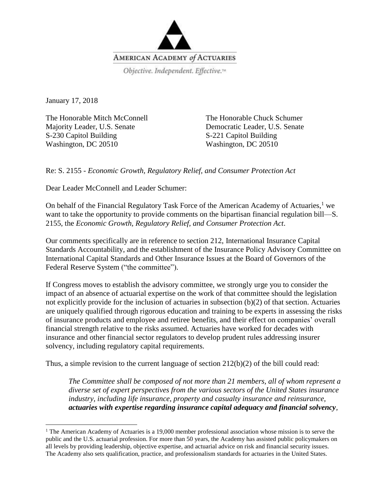

January 17, 2018

 $\overline{\phantom{a}}$ 

The Honorable Mitch McConnell Majority Leader, U.S. Senate S-230 Capitol Building Washington, DC 20510

The Honorable Chuck Schumer Democratic Leader, U.S. Senate S-221 Capitol Building Washington, DC 20510

Re: S. 2155 - *Economic Growth, Regulatory Relief, and Consumer Protection Act*

Dear Leader McConnell and Leader Schumer:

On behalf of the Financial Regulatory Task Force of the American Academy of Actuaries,<sup>1</sup> we want to take the opportunity to provide comments on the bipartisan financial regulation bill—S. 2155, the *Economic Growth, Regulatory Relief, and Consumer Protection Act*.

Our comments specifically are in reference to section 212, International Insurance Capital Standards Accountability, and the establishment of the Insurance Policy Advisory Committee on International Capital Standards and Other Insurance Issues at the Board of Governors of the Federal Reserve System ("the committee").

If Congress moves to establish the advisory committee, we strongly urge you to consider the impact of an absence of actuarial expertise on the work of that committee should the legislation not explicitly provide for the inclusion of actuaries in subsection (b)(2) of that section. Actuaries are uniquely qualified through rigorous education and training to be experts in assessing the risks of insurance products and employee and retiree benefits, and their effect on companies' overall financial strength relative to the risks assumed. Actuaries have worked for decades with insurance and other financial sector regulators to develop prudent rules addressing insurer solvency, including regulatory capital requirements.

Thus, a simple revision to the current language of section  $212(b)(2)$  of the bill could read:

*The Committee shall be composed of not more than 21 members, all of whom represent a diverse set of expert perspectives from the various sectors of the United States insurance industry, including life insurance, property and casualty insurance and reinsurance, actuaries with expertise regarding insurance capital adequacy and financial solvency,* 

<sup>&</sup>lt;sup>1</sup> The American Academy of Actuaries is a 19,000 member professional association whose mission is to serve the public and the U.S. actuarial profession. For more than 50 years, the Academy has assisted public policymakers on all levels by providing leadership, objective expertise, and actuarial advice on risk and financial security issues. The Academy also sets qualification, practice, and professionalism standards for actuaries in the United States.